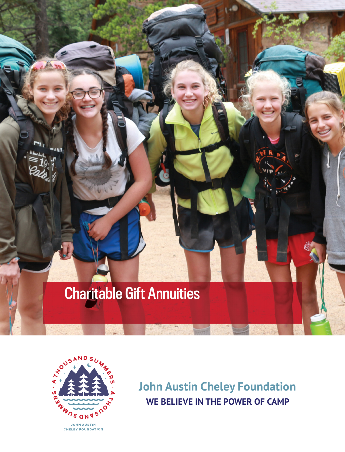# Charitable Gift Annuities



**John Austin Cheley Foundation WE BELIEVE IN THE POWER OF CAMP**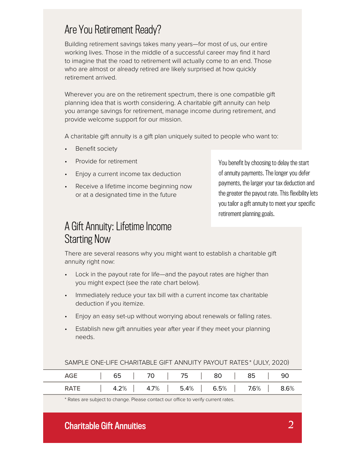## Are You Retirement Ready?

Building retirement savings takes many years—for most of us, our entire working lives. Those in the middle of a successful career may find it hard to imagine that the road to retirement will actually come to an end. Those who are almost or already retired are likely surprised at how quickly retirement arrived.

Wherever you are on the retirement spectrum, there is one compatible gift planning idea that is worth considering. A charitable gift annuity can help you arrange savings for retirement, manage income during retirement, and provide welcome support for our mission.

A charitable gift annuity is a gift plan uniquely suited to people who want to:

- **Benefit society**
- Provide for retirement
- Enjoy a current income tax deduction
- Receive a lifetime income beginning now or at a designated time in the future

You benefit by choosing to delay the start of annuity payments. The longer you defer payments, the larger your tax deduction and the greater the payout rate. This flexibility lets you tailor a gift annuity to meet your specific retirement planning goals.

### A Gift Annuity: Lifetime Income Starting Now

There are several reasons why you might want to establish a charitable gift annuity right now:

- Lock in the payout rate for life—and the payout rates are higher than you might expect (see the rate chart below).
- Immediately reduce your tax bill with a current income tax charitable deduction if you itemize.
- Enjoy an easy set-up without worrying about renewals or falling rates.
- Establish new gift annuities year after year if they meet your planning needs.

|             |  |  |  |  |  | AGE   65   70   75   80   85   90 |  |
|-------------|--|--|--|--|--|-----------------------------------|--|
| <b>RATE</b> |  |  |  |  |  |                                   |  |

#### SAMPLE ONE-LIFE CHARITABLE GIFT ANNUITY PAYOUT RATES \* (JULY, 2020)

\* Rates are subject to change. Please contact our office to verify current rates.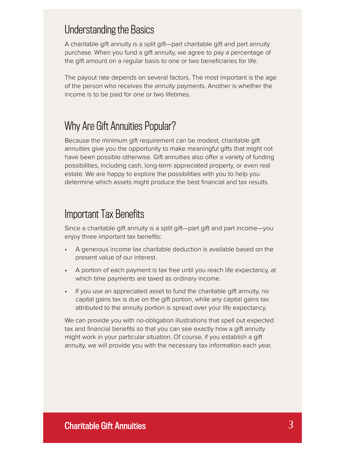### Understanding the Basics

A charitable gift annuity is a split gift—part charitable gift and part annuity purchase. When you fund a gift annuity, we agree to pay a percentage of the gift amount on a regular basis to one or two beneficiaries for life.

The payout rate depends on several factors. The most important is the age of the person who receives the annuity payments. Another is whether the income is to be paid for one or two lifetimes.

### Why Are Gift Annuities Popular?

Because the minimum gift requirement can be modest, charitable gift annuities give you the opportunity to make meaningful gifts that might not have been possible otherwise. Gift annuities also offer a variety of funding possibilities, including cash, long-term appreciated property, or even real estate. We are happy to explore the possibilities with you to help you determine which assets might produce the best financial and tax results.

### Important Tax Benefits

Since a charitable gift annuity is a split gift—part gift and part income—you enjoy three important tax benefits:

- A generous income tax charitable deduction is available based on the present value of our interest.
- A portion of each payment is tax free until you reach life expectancy, at which time payments are taxed as ordinary income.
- If you use an appreciated asset to fund the charitable gift annuity, no capital gains tax is due on the gift portion, while any capital gains tax attributed to the annuity portion is spread over your life expectancy.

We can provide you with no-obligation illustrations that spell out expected tax and financial benefits so that you can see exactly how a gift annuity might work in your particular situation. Of course, if you establish a gift annuity, we will provide you with the necessary tax information each year.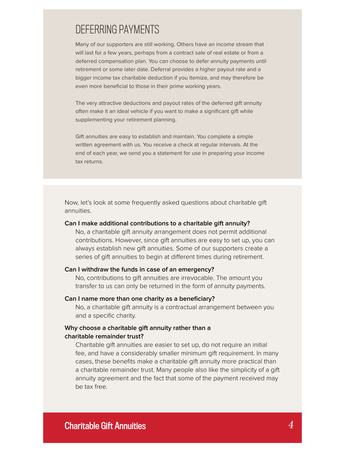### DEFERRING PAYMENTS

Many of our supporters are still working. Others have an income stream that will last for a few years, perhaps from a contract sale of real estate or from a deferred compensation plan. You can choose to defer annuity payments until retirement or some later date. Deferral provides a higher payout rate and a bigger income tax charitable deduction if you itemize, and may therefore be even more beneficial to those in their prime working years.

The very attractive deductions and payout rates of the deferred gift annuity often make it an ideal vehicle if you want to make a significant gift while supplementing your retirement planning.

Gift annuities are easy to establish and maintain. You complete a simple written agreement with us. You receive a check at regular intervals. At the end of each year, we send you a statement for use in preparing your income tax returns.

Now, let's look at some frequently asked questions about charitable gift annuities.

#### **Can I make additional contributions to a charitable gift annuity?**

No, a charitable gift annuity arrangement does not permit additional contributions. However, since gift annuities are easy to set up, you can always establish new gift annuities. Some of our supporters create a series of gift annuities to begin at different times during retirement.

#### **Can I withdraw the funds in case of an emergency?**

No, contributions to gift annuities are irrevocable. The amount you transfer to us can only be returned in the form of annuity payments.

#### Can I name more than one charity as a beneficiary?

No, a charitable gift annuity is a contractual arrangement between you and a specific charity.

#### **Why choose a charitable gift annuity rather than a charitable remainder trust?**

Charitable gift annuities are easier to set up, do not require an initial fee, and have a considerably smaller minimum gift requirement. In many cases, these benefits make a charitable gift annuity more practical than a charitable remainder trust. Many people also like the simplicity of a gift annuity agreement and the fact that some of the payment received may be tax free.